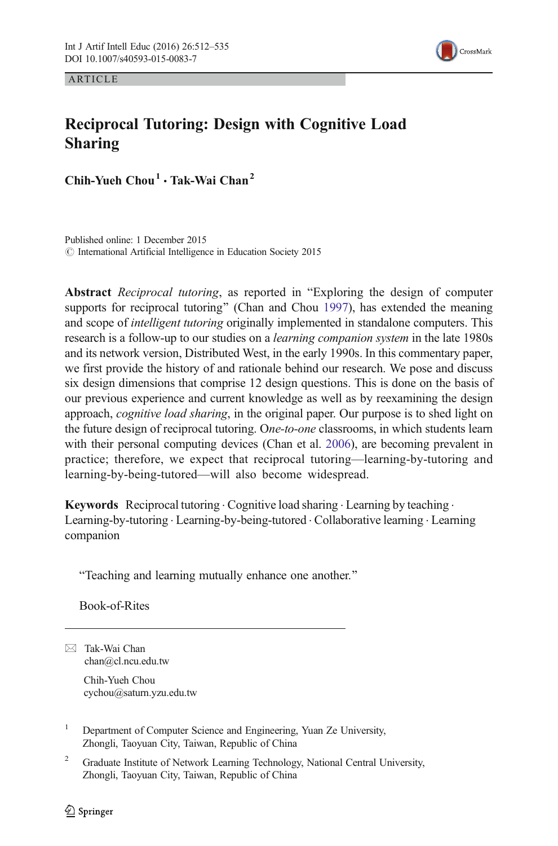

ARTICLE

# Reciprocal Tutoring: Design with Cognitive Load Sharing

Chih-Yueh  $Chou<sup>1</sup> \cdot Tak-Wai Chan<sup>2</sup>$ 

Published online: 1 December 2015 © International Artificial Intelligence in Education Society 2015

Abstract Reciprocal tutoring, as reported in "Exploring the design of computer supports for reciprocal tutoring" (Chan and Chou [1997](#page-20-0)), has extended the meaning and scope of intelligent tutoring originally implemented in standalone computers. This research is a follow-up to our studies on a *learning companion system* in the late 1980s and its network version, Distributed West, in the early 1990s. In this commentary paper, we first provide the history of and rationale behind our research. We pose and discuss six design dimensions that comprise 12 design questions. This is done on the basis of our previous experience and current knowledge as well as by reexamining the design approach, *cognitive load sharing*, in the original paper. Our purpose is to shed light on the future design of reciprocal tutoring. One-to-one classrooms, in which students learn with their personal computing devices (Chan et al. [2006](#page-21-0)), are becoming prevalent in practice; therefore, we expect that reciprocal tutoring—learning-by-tutoring and learning-by-being-tutored—will also become widespread.

Keywords Reciprocal tutoring . Cognitive load sharing . Learning by teaching . Learning-by-tutoring . Learning-by-being-tutored . Collaborative learning . Learning companion

"Teaching and learning mutually enhance one another."

Book-of-Rites

 $\boxtimes$  Tak-Wai Chan chan@cl.ncu.edu.tw

> Chih-Yueh Chou cychou@saturn.yzu.edu.tw

<sup>1</sup> Department of Computer Science and Engineering, Yuan Ze University, Zhongli, Taoyuan City, Taiwan, Republic of China

<sup>2</sup> Graduate Institute of Network Learning Technology, National Central University, Zhongli, Taoyuan City, Taiwan, Republic of China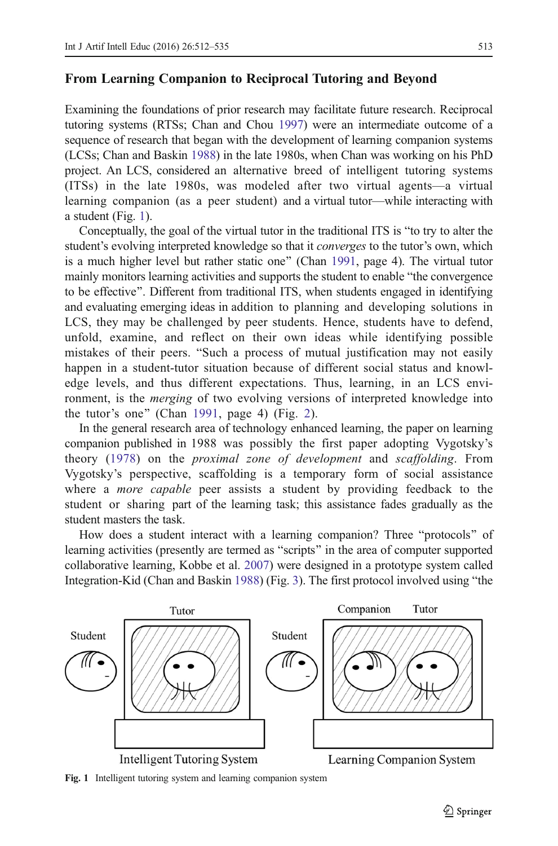#### From Learning Companion to Reciprocal Tutoring and Beyond

Examining the foundations of prior research may facilitate future research. Reciprocal tutoring systems (RTSs; Chan and Chou [1997](#page-20-0)) were an intermediate outcome of a sequence of research that began with the development of learning companion systems (LCSs; Chan and Baskin [1988](#page-20-0)) in the late 1980s, when Chan was working on his PhD project. An LCS, considered an alternative breed of intelligent tutoring systems (ITSs) in the late 1980s, was modeled after two virtual agents—a virtual learning companion (as a peer student) and a virtual tutor—while interacting with a student (Fig. 1).

Conceptually, the goal of the virtual tutor in the traditional ITS is "to try to alter the student's evolving interpreted knowledge so that it *converges* to the tutor's own, which is a much higher level but rather static one" (Chan [1991,](#page-20-0) page 4). The virtual tutor mainly monitors learning activities and supports the student to enable "the convergence to be effective^. Different from traditional ITS, when students engaged in identifying and evaluating emerging ideas in addition to planning and developing solutions in LCS, they may be challenged by peer students. Hence, students have to defend, unfold, examine, and reflect on their own ideas while identifying possible mistakes of their peers. "Such a process of mutual justification may not easily happen in a student-tutor situation because of different social status and knowledge levels, and thus different expectations. Thus, learning, in an LCS environment, is the *merging* of two evolving versions of interpreted knowledge into the tutor's one" (Chan [1991](#page-20-0), page 4) (Fig. [2\)](#page-2-0).

In the general research area of technology enhanced learning, the paper on learning companion published in 1988 was possibly the first paper adopting Vygotsky's theory ([1978](#page-23-0)) on the proximal zone of development and scaffolding. From Vygotsky's perspective, scaffolding is a temporary form of social assistance where a more capable peer assists a student by providing feedback to the student or sharing part of the learning task; this assistance fades gradually as the student masters the task.

How does a student interact with a learning companion? Three "protocols" of learning activities (presently are termed as "scripts" in the area of computer supported collaborative learning, Kobbe et al. [2007](#page-22-0)) were designed in a prototype system called Integration-Kid (Chan and Baskin [1988](#page-20-0)) (Fig. [3](#page-2-0)). The first protocol involved using "the



Fig. 1 Intelligent tutoring system and learning companion system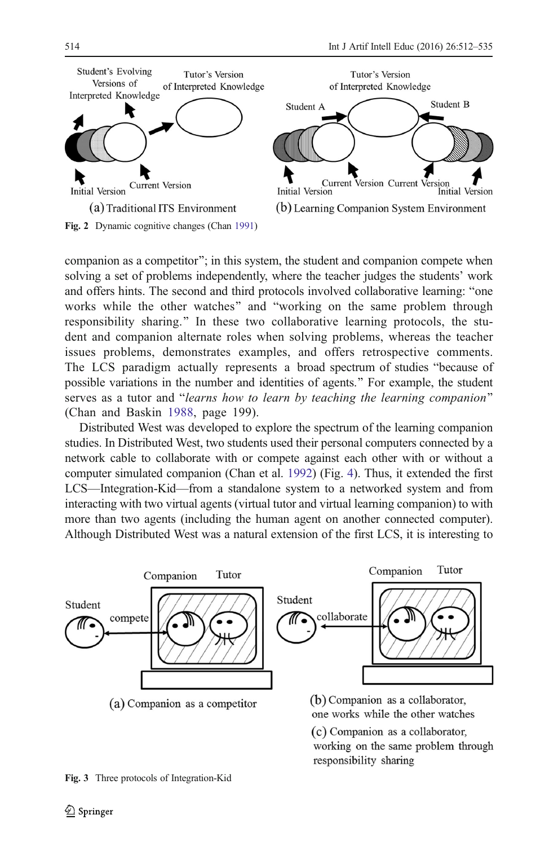<span id="page-2-0"></span>

Fig. 2 Dynamic cognitive changes (Chan [1991](#page-20-0))

companion as a competitor"; in this system, the student and companion compete when solving a set of problems independently, where the teacher judges the students' work and offers hints. The second and third protocols involved collaborative learning: "one works while the other watches" and "working on the same problem through responsibility sharing." In these two collaborative learning protocols, the student and companion alternate roles when solving problems, whereas the teacher issues problems, demonstrates examples, and offers retrospective comments. The LCS paradigm actually represents a broad spectrum of studies "because of possible variations in the number and identities of agents.^ For example, the student serves as a tutor and "learns how to learn by teaching the learning companion" (Chan and Baskin [1988](#page-20-0), page 199).

Distributed West was developed to explore the spectrum of the learning companion studies. In Distributed West, two students used their personal computers connected by a network cable to collaborate with or compete against each other with or without a computer simulated companion (Chan et al. [1992\)](#page-20-0) (Fig. [4](#page-3-0)). Thus, it extended the first LCS—Integration-Kid—from a standalone system to a networked system and from interacting with two virtual agents (virtual tutor and virtual learning companion) to with more than two agents (including the human agent on another connected computer). Although Distributed West was a natural extension of the first LCS, it is interesting to



one works while the other watches

(c) Companion as a collaborator, working on the same problem through responsibility sharing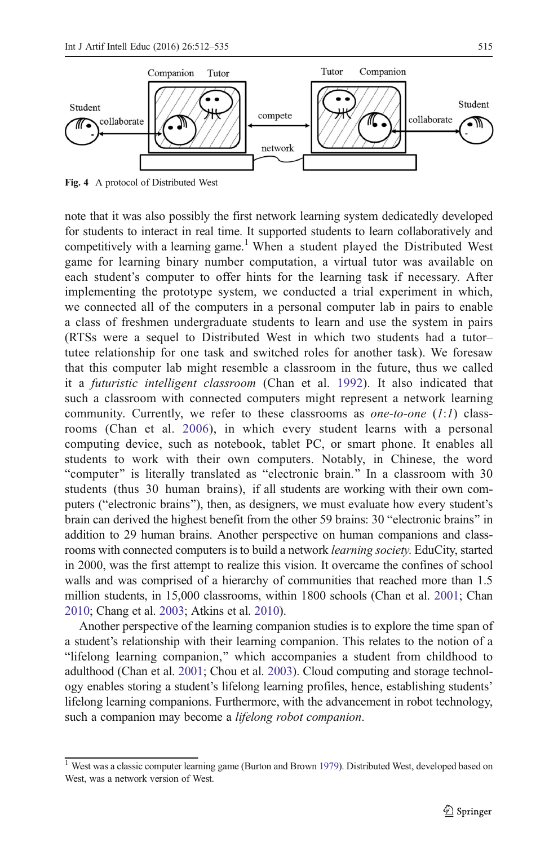<span id="page-3-0"></span>

Fig. 4 A protocol of Distributed West

note that it was also possibly the first network learning system dedicatedly developed for students to interact in real time. It supported students to learn collaboratively and competitively with a learning game.<sup>1</sup> When a student played the Distributed West game for learning binary number computation, a virtual tutor was available on each student's computer to offer hints for the learning task if necessary. After implementing the prototype system, we conducted a trial experiment in which, we connected all of the computers in a personal computer lab in pairs to enable a class of freshmen undergraduate students to learn and use the system in pairs (RTSs were a sequel to Distributed West in which two students had a tutor– tutee relationship for one task and switched roles for another task). We foresaw that this computer lab might resemble a classroom in the future, thus we called it a futuristic intelligent classroom (Chan et al. [1992\)](#page-20-0). It also indicated that such a classroom with connected computers might represent a network learning community. Currently, we refer to these classrooms as *one-to-one*  $(1:1)$  classrooms (Chan et al. [2006\)](#page-21-0), in which every student learns with a personal computing device, such as notebook, tablet PC, or smart phone. It enables all students to work with their own computers. Notably, in Chinese, the word "computer" is literally translated as "electronic brain." In a classroom with 30 students (thus 30 human brains), if all students are working with their own computers ("electronic brains"), then, as designers, we must evaluate how every student's brain can derived the highest benefit from the other 59 brains: 30 "electronic brains" in addition to 29 human brains. Another perspective on human companions and classrooms with connected computers is to build a network *learning society*. EduCity, started in 2000, was the first attempt to realize this vision. It overcame the confines of school walls and was comprised of a hierarchy of communities that reached more than 1.5 million students, in 15,000 classrooms, within 1800 schools (Chan et al. [2001;](#page-21-0) Chan [2010;](#page-20-0) Chang et al. [2003](#page-21-0); Atkins et al. [2010](#page-20-0)).

Another perspective of the learning companion studies is to explore the time span of a student's relationship with their learning companion. This relates to the notion of a "lifelong learning companion," which accompanies a student from childhood to adulthood (Chan et al. [2001](#page-21-0); Chou et al. [2003](#page-21-0)). Cloud computing and storage technology enables storing a student's lifelong learning profiles, hence, establishing students' lifelong learning companions. Furthermore, with the advancement in robot technology, such a companion may become a lifelong robot companion.

<sup>&</sup>lt;sup>1</sup> West was a classic computer learning game (Burton and Brown [1979\)](#page-20-0). Distributed West, developed based on West, was a network version of West.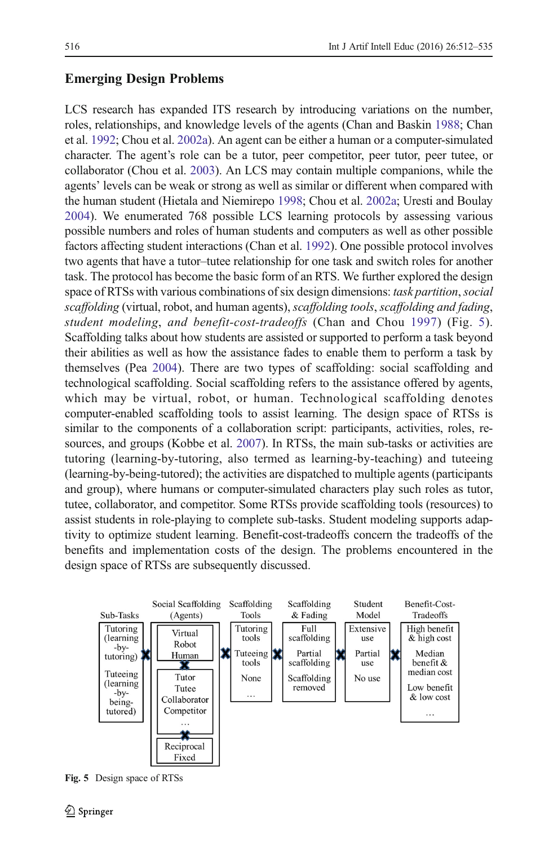# Emerging Design Problems

LCS research has expanded ITS research by introducing variations on the number, roles, relationships, and knowledge levels of the agents (Chan and Baskin [1988](#page-20-0); Chan et al. [1992](#page-20-0); Chou et al. [2002a\)](#page-21-0). An agent can be either a human or a computer-simulated character. The agent's role can be a tutor, peer competitor, peer tutor, peer tutee, or collaborator (Chou et al. [2003](#page-21-0)). An LCS may contain multiple companions, while the agents' levels can be weak or strong as well as similar or different when compared with the human student (Hietala and Niemirepo [1998](#page-21-0); Chou et al. [2002a](#page-21-0); Uresti and Boulay [2004\)](#page-23-0). We enumerated 768 possible LCS learning protocols by assessing various possible numbers and roles of human students and computers as well as other possible factors affecting student interactions (Chan et al. [1992](#page-20-0)). One possible protocol involves two agents that have a tutor–tutee relationship for one task and switch roles for another task. The protocol has become the basic form of an RTS. We further explored the design space of RTSs with various combinations of six design dimensions: task partition, social scaffolding (virtual, robot, and human agents), scaffolding tools, scaffolding and fading, student modeling, and benefit-cost-tradeoffs (Chan and Chou [1997](#page-20-0)) (Fig. 5). Scaffolding talks about how students are assisted or supported to perform a task beyond their abilities as well as how the assistance fades to enable them to perform a task by themselves (Pea [2004\)](#page-22-0). There are two types of scaffolding: social scaffolding and technological scaffolding. Social scaffolding refers to the assistance offered by agents, which may be virtual, robot, or human. Technological scaffolding denotes computer-enabled scaffolding tools to assist learning. The design space of RTSs is similar to the components of a collaboration script: participants, activities, roles, resources, and groups (Kobbe et al. [2007\)](#page-22-0). In RTSs, the main sub-tasks or activities are tutoring (learning-by-tutoring, also termed as learning-by-teaching) and tuteeing (learning-by-being-tutored); the activities are dispatched to multiple agents (participants and group), where humans or computer-simulated characters play such roles as tutor, tutee, collaborator, and competitor. Some RTSs provide scaffolding tools (resources) to assist students in role-playing to complete sub-tasks. Student modeling supports adaptivity to optimize student learning. Benefit-cost-tradeoffs concern the tradeoffs of the benefits and implementation costs of the design. The problems encountered in the design space of RTSs are subsequently discussed.



Fig. 5 Design space of RTSs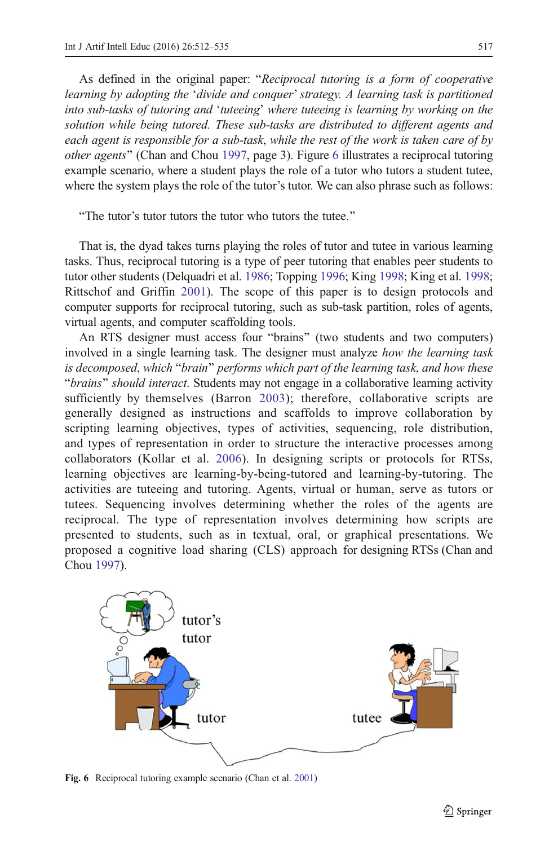As defined in the original paper: "Reciprocal tutoring is a form of cooperative learning by adopting the 'divide and conquer'strategy. A learning task is partitioned into sub-tasks of tutoring and 'tuteeing' where tuteeing is learning by working on the solution while being tutored. These sub-tasks are distributed to different agents and each agent is responsible for a sub-task, while the rest of the work is taken care of by *other agents*" (Chan and Chou [1997](#page-20-0), page 3). Figure 6 illustrates a reciprocal tutoring example scenario, where a student plays the role of a tutor who tutors a student tutee, where the system plays the role of the tutor's tutor. We can also phrase such as follows:

"The tutor's tutor tutors the tutor who tutors the tutee."

That is, the dyad takes turns playing the roles of tutor and tutee in various learning tasks. Thus, reciprocal tutoring is a type of peer tutoring that enables peer students to tutor other students (Delquadri et al. [1986](#page-21-0); Topping [1996;](#page-23-0) King [1998](#page-22-0); King et al. [1998;](#page-22-0) Rittschof and Griffin [2001\)](#page-22-0). The scope of this paper is to design protocols and computer supports for reciprocal tutoring, such as sub-task partition, roles of agents, virtual agents, and computer scaffolding tools.

An RTS designer must access four "brains" (two students and two computers) involved in a single learning task. The designer must analyze how the learning task is decomposed, which "brain" performs which part of the learning task, and how these "*brains*" *should interact*. Students may not engage in a collaborative learning activity sufficiently by themselves (Barron [2003](#page-20-0)); therefore, collaborative scripts are generally designed as instructions and scaffolds to improve collaboration by scripting learning objectives, types of activities, sequencing, role distribution, and types of representation in order to structure the interactive processes among collaborators (Kollar et al. [2006\)](#page-22-0). In designing scripts or protocols for RTSs, learning objectives are learning-by-being-tutored and learning-by-tutoring. The activities are tuteeing and tutoring. Agents, virtual or human, serve as tutors or tutees. Sequencing involves determining whether the roles of the agents are reciprocal. The type of representation involves determining how scripts are presented to students, such as in textual, oral, or graphical presentations. We proposed a cognitive load sharing (CLS) approach for designing RTSs (Chan and Chou [1997\)](#page-20-0).



Fig. 6 Reciprocal tutoring example scenario (Chan et al. [2001](#page-21-0))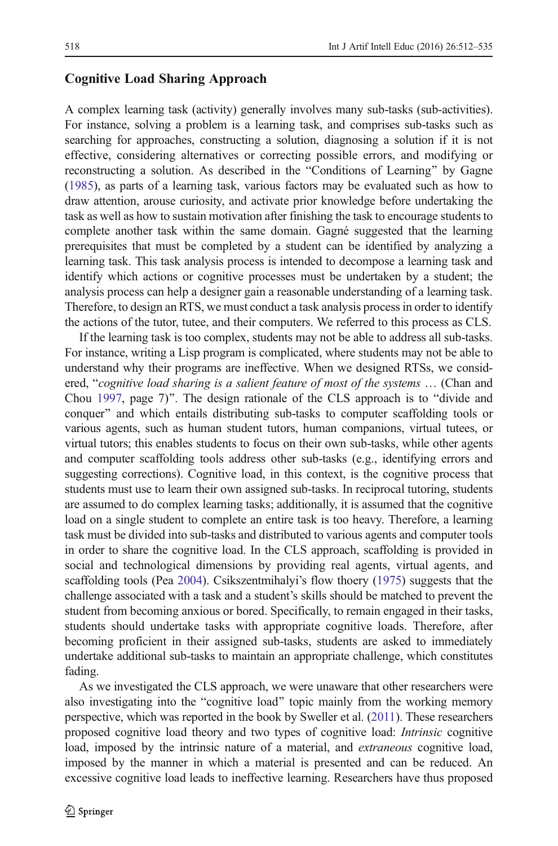### Cognitive Load Sharing Approach

A complex learning task (activity) generally involves many sub-tasks (sub-activities). For instance, solving a problem is a learning task, and comprises sub-tasks such as searching for approaches, constructing a solution, diagnosing a solution if it is not effective, considering alternatives or correcting possible errors, and modifying or reconstructing a solution. As described in the "Conditions of Learning" by Gagne [\(1985\)](#page-21-0), as parts of a learning task, various factors may be evaluated such as how to draw attention, arouse curiosity, and activate prior knowledge before undertaking the task as well as how to sustain motivation after finishing the task to encourage students to complete another task within the same domain. Gagné suggested that the learning prerequisites that must be completed by a student can be identified by analyzing a learning task. This task analysis process is intended to decompose a learning task and identify which actions or cognitive processes must be undertaken by a student; the analysis process can help a designer gain a reasonable understanding of a learning task. Therefore, to design an RTS, we must conduct a task analysis process in order to identify the actions of the tutor, tutee, and their computers. We referred to this process as CLS.

If the learning task is too complex, students may not be able to address all sub-tasks. For instance, writing a Lisp program is complicated, where students may not be able to understand why their programs are ineffective. When we designed RTSs, we considered, "cognitive load sharing is a salient feature of most of the systems ... (Chan and Chou [1997,](#page-20-0) page 7)". The design rationale of the CLS approach is to "divide and conquer" and which entails distributing sub-tasks to computer scaffolding tools or various agents, such as human student tutors, human companions, virtual tutees, or virtual tutors; this enables students to focus on their own sub-tasks, while other agents and computer scaffolding tools address other sub-tasks (e.g., identifying errors and suggesting corrections). Cognitive load, in this context, is the cognitive process that students must use to learn their own assigned sub-tasks. In reciprocal tutoring, students are assumed to do complex learning tasks; additionally, it is assumed that the cognitive load on a single student to complete an entire task is too heavy. Therefore, a learning task must be divided into sub-tasks and distributed to various agents and computer tools in order to share the cognitive load. In the CLS approach, scaffolding is provided in social and technological dimensions by providing real agents, virtual agents, and scaffolding tools (Pea [2004](#page-22-0)). Csikszentmihalyi's flow thoery ([1975](#page-21-0)) suggests that the challenge associated with a task and a student's skills should be matched to prevent the student from becoming anxious or bored. Specifically, to remain engaged in their tasks, students should undertake tasks with appropriate cognitive loads. Therefore, after becoming proficient in their assigned sub-tasks, students are asked to immediately undertake additional sub-tasks to maintain an appropriate challenge, which constitutes fading.

As we investigated the CLS approach, we were unaware that other researchers were also investigating into the "cognitive load" topic mainly from the working memory perspective, which was reported in the book by Sweller et al. [\(2011\)](#page-23-0). These researchers proposed cognitive load theory and two types of cognitive load: Intrinsic cognitive load, imposed by the intrinsic nature of a material, and *extraneous* cognitive load, imposed by the manner in which a material is presented and can be reduced. An excessive cognitive load leads to ineffective learning. Researchers have thus proposed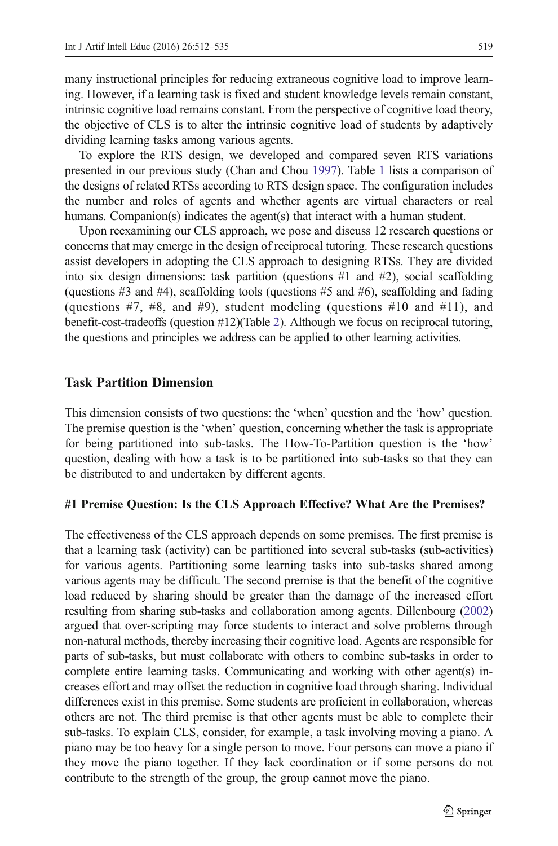many instructional principles for reducing extraneous cognitive load to improve learning. However, if a learning task is fixed and student knowledge levels remain constant, intrinsic cognitive load remains constant. From the perspective of cognitive load theory, the objective of CLS is to alter the intrinsic cognitive load of students by adaptively dividing learning tasks among various agents.

To explore the RTS design, we developed and compared seven RTS variations presented in our previous study (Chan and Chou [1997\)](#page-20-0). Table [1](#page-8-0) lists a comparison of the designs of related RTSs according to RTS design space. The configuration includes the number and roles of agents and whether agents are virtual characters or real humans. Companion(s) indicates the agent(s) that interact with a human student.

Upon reexamining our CLS approach, we pose and discuss 12 research questions or concerns that may emerge in the design of reciprocal tutoring. These research questions assist developers in adopting the CLS approach to designing RTSs. They are divided into six design dimensions: task partition (questions  $#1$  and  $#2$ ), social scaffolding (questions  $\#3$  and  $\#4$ ), scaffolding tools (questions  $\#5$  and  $\#6$ ), scaffolding and fading (questions #7, #8, and #9), student modeling (questions #10 and #11), and benefit-cost-tradeoffs (question #12)(Table [2](#page-9-0)). Although we focus on reciprocal tutoring, the questions and principles we address can be applied to other learning activities.

### Task Partition Dimension

This dimension consists of two questions: the 'when' question and the 'how' question. The premise question is the 'when' question, concerning whether the task is appropriate for being partitioned into sub-tasks. The How-To-Partition question is the 'how' question, dealing with how a task is to be partitioned into sub-tasks so that they can be distributed to and undertaken by different agents.

#### #1 Premise Question: Is the CLS Approach Effective? What Are the Premises?

The effectiveness of the CLS approach depends on some premises. The first premise is that a learning task (activity) can be partitioned into several sub-tasks (sub-activities) for various agents. Partitioning some learning tasks into sub-tasks shared among various agents may be difficult. The second premise is that the benefit of the cognitive load reduced by sharing should be greater than the damage of the increased effort resulting from sharing sub-tasks and collaboration among agents. Dillenbourg ([2002](#page-21-0)) argued that over-scripting may force students to interact and solve problems through non-natural methods, thereby increasing their cognitive load. Agents are responsible for parts of sub-tasks, but must collaborate with others to combine sub-tasks in order to complete entire learning tasks. Communicating and working with other agent(s) increases effort and may offset the reduction in cognitive load through sharing. Individual differences exist in this premise. Some students are proficient in collaboration, whereas others are not. The third premise is that other agents must be able to complete their sub-tasks. To explain CLS, consider, for example, a task involving moving a piano. A piano may be too heavy for a single person to move. Four persons can move a piano if they move the piano together. If they lack coordination or if some persons do not contribute to the strength of the group, the group cannot move the piano.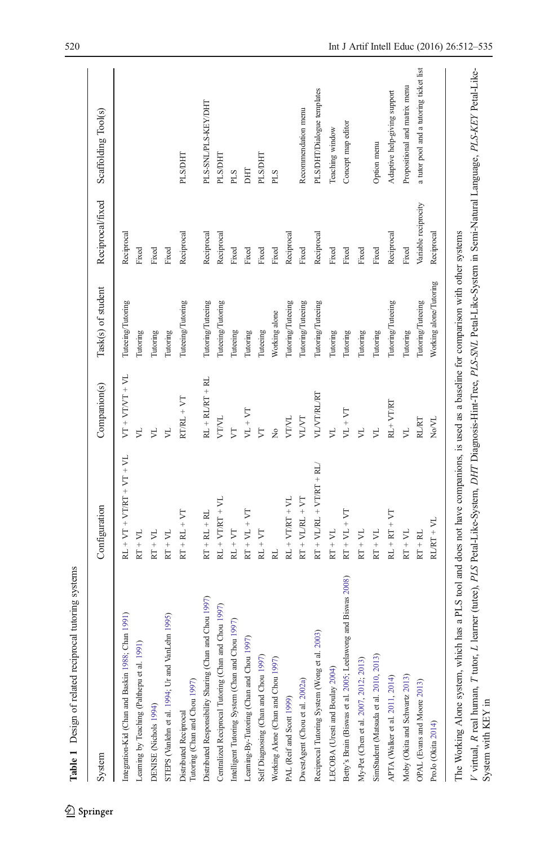<span id="page-8-0"></span>

| System                                                                                                                                                                                                                                                                                                                                     | Configuration            | Companion(s)                | Task(s) of student     | Reciprocal/fixed     | Scaffolding Tool(s)                     |
|--------------------------------------------------------------------------------------------------------------------------------------------------------------------------------------------------------------------------------------------------------------------------------------------------------------------------------------------|--------------------------|-----------------------------|------------------------|----------------------|-----------------------------------------|
| Integration-Kid (Chan and Baskin 1988; Chan 1991)                                                                                                                                                                                                                                                                                          | $RL + VT + VT + VT + VL$ | $VT + VTVT + VL$            | Tuteeing/Tutoring      | Reciprocal           |                                         |
| Learning by Teaching (Palthepu et al. 1991)                                                                                                                                                                                                                                                                                                | $RT + VL$                | ξ                           | Tutoring               | Fixed                |                                         |
| DENISE (Nichols 1994)                                                                                                                                                                                                                                                                                                                      | $RT + VL$                | Σ                           | Tutoring               | Fixed                |                                         |
| 1995)<br>STEPS (Vanlehn et al. 1994; Ur and VanLehn                                                                                                                                                                                                                                                                                        | $RT + VL$                | Σ                           | Tutoring               | Fixed                |                                         |
| Tutoring (Chan and Chou 1997)<br>Distributed Reciprocal                                                                                                                                                                                                                                                                                    | $RT + RL + VT$           | $RTRL + VT$                 | Tuteeing/Tutoring      | Reciprocal           | PLS/DHT                                 |
| Distributed Responsibility Sharing (Chan and Chou 1997)                                                                                                                                                                                                                                                                                    | $RT + RL + RL$           | $RL + R L R T + R L$        | Tutoring/Tuteeing      | Reciprocal           | PLS-SNL/PLS-KEY/DHT                     |
| Centralized Reciprocal Tutoring (Chan and Chou 1997)                                                                                                                                                                                                                                                                                       | $RL + VTRT + VL$         | <b>VT/VL</b>                | Tuteeing/Tutoring      | Reciprocal           | PLS/DHT                                 |
| Intelligent Tutoring System (Chan and Chou 1997)                                                                                                                                                                                                                                                                                           | $RL + VT$                | $\overline{\triangleright}$ | Tuteeing               | Fixed                | <b>PLS</b>                              |
| Learning-By-Tutoring (Chan and Chou 1997)                                                                                                                                                                                                                                                                                                  | $RT + VL + VT$           | $VI + VI$                   | Tutoring               | Fixed                | DHT                                     |
| Self Diagnosing (Chan and Chou 1997)                                                                                                                                                                                                                                                                                                       | $RL + VT$                | $\nabla$                    | Tuteeing               | Fixed                | PLS/DHT                                 |
| Working Alone (Chan and Chou 1997)                                                                                                                                                                                                                                                                                                         | RL                       | ż                           | Working alone          | Fixed                | <b>PLS</b>                              |
| PAL (Reif and Scott 1999)                                                                                                                                                                                                                                                                                                                  | $RL + VTRT + VL$         | <b>VT/VL</b>                | Tutoring/Tuteeing      | Reciprocal           |                                         |
| DwestAgent (Chou et al. 2002a)                                                                                                                                                                                                                                                                                                             | $RT + VLRL + VT$         | VLVT                        | Tutoring/Tuteeing      | Fixed                | Recommendation menu                     |
| Reciprocal Tutoring System (Wong et al. 2003)                                                                                                                                                                                                                                                                                              | $RT + VLRL + VTRT + RL$  | VL/VT/RL/RT                 | Tutoring/Tuteeing      | Reciprocal           | PLS/DHT/Dialogue templates              |
| LECOBA (Uresti and Boulay 2004)                                                                                                                                                                                                                                                                                                            | $RT + VL$                | $\overline{\triangledown}$  | Tutoring               | Fixed                | Teaching window                         |
| Betty's Brain (Biswas et al. 2005; Leelawong and Biswas 2008)                                                                                                                                                                                                                                                                              | $RT + VL + VT$           | $VI + VI$                   | Tutoring               | Fixed                | Concept map editor                      |
| My-Pet (Chen et al. 2007, 2012; 2013)                                                                                                                                                                                                                                                                                                      | $RT + VL$                | $\overline{\triangledown}$  | Tutoring               | Fixed                |                                         |
| SimStudent (Matsuda et al. 2010, 2013)                                                                                                                                                                                                                                                                                                     | $RT + VL$                | $\overline{\triangledown}$  | Tutoring               | Fixed                | Option menu                             |
| APTA (Walker et al. 2011, 2014)                                                                                                                                                                                                                                                                                                            | $RL + RT + VT$           | RL+VT/RT                    | Tutoring/Tuteeing      | Reciprocal           | Adaptive help-giving support            |
| Moby (Okita and Schwartz 2013)                                                                                                                                                                                                                                                                                                             | $RT + VL$                | $\overline{z}$              | Tutoring               | Fixed                | Propositional and matrix menu           |
| OPAL (Evans and Moore 2013)                                                                                                                                                                                                                                                                                                                | $RT + RL$                | <b>RL/RT</b>                | Tutoring/Tuteeing      | Variable reciprocity | a tutor pool and a tutoring ticket list |
| ProJo (Okita 2014)                                                                                                                                                                                                                                                                                                                         | $RLRT + VL$              | No/VL                       | Working alone/Tutoring | Reciprocal           |                                         |
| V virtual, R real human, T tutor, L learner (tutee), PLS Petal-Like-System, DHT Diagnosis-Hint-Tree, PLS-SNL Petal-Like-System in Semi-Natural Language, PLS-KEY Petal-Like-<br>The Working Alone system, which has a PLS tool and does not have companions, is used as a baseline for comparison with other systems<br>System with KEY in |                          |                             |                        |                      |                                         |

 $\underline{\textcircled{\tiny 2}}$  Springer

Table 1 Design of related reciprocal tutoring systems

Table 1 Design of related reciprocal tutoring systems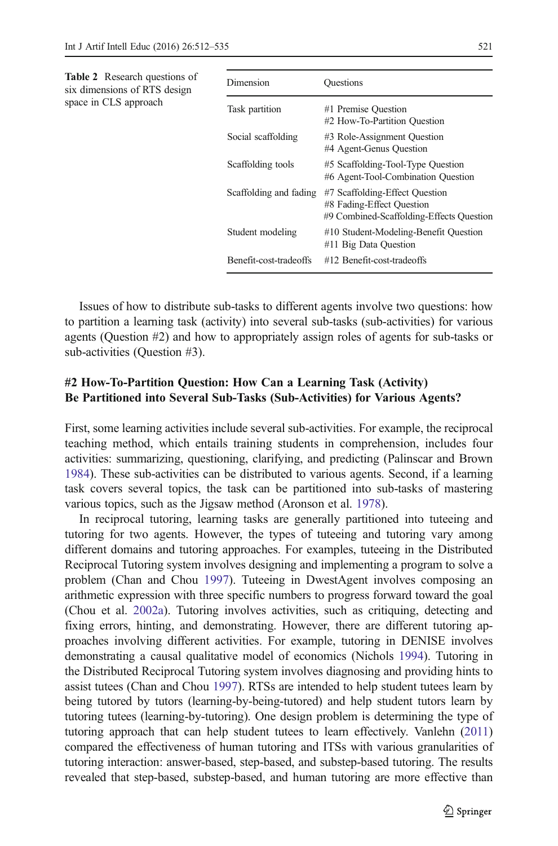<span id="page-9-0"></span>

| <b>Table 2</b> Research questions of<br>six dimensions of RTS design<br>space in CLS approach | Dimension              | <b>Ouestions</b>                                                                                        |
|-----------------------------------------------------------------------------------------------|------------------------|---------------------------------------------------------------------------------------------------------|
|                                                                                               | Task partition         | #1 Premise Ouestion<br>#2 How-To-Partition Ouestion                                                     |
|                                                                                               | Social scaffolding     | #3 Role-Assignment Ouestion<br>#4 Agent-Genus Ouestion                                                  |
|                                                                                               | Scaffolding tools      | #5 Scaffolding-Tool-Type Ouestion<br>#6 Agent-Tool-Combination Ouestion                                 |
|                                                                                               | Scaffolding and fading | #7 Scaffolding-Effect Question<br>#8 Fading-Effect Ouestion<br>#9 Combined-Scaffolding-Effects Ouestion |
|                                                                                               | Student modeling       | #10 Student-Modeling-Benefit Ouestion<br>#11 Big Data Ouestion                                          |
|                                                                                               | Benefit-cost-tradeoffs | $#12$ Benefit-cost-tradeoffs                                                                            |

Issues of how to distribute sub-tasks to different agents involve two questions: how to partition a learning task (activity) into several sub-tasks (sub-activities) for various agents (Question #2) and how to appropriately assign roles of agents for sub-tasks or sub-activities (Question #3).

## #2 How-To-Partition Question: How Can a Learning Task (Activity) Be Partitioned into Several Sub-Tasks (Sub-Activities) for Various Agents?

First, some learning activities include several sub-activities. For example, the reciprocal teaching method, which entails training students in comprehension, includes four activities: summarizing, questioning, clarifying, and predicting (Palinscar and Brown [1984\)](#page-22-0). These sub-activities can be distributed to various agents. Second, if a learning task covers several topics, the task can be partitioned into sub-tasks of mastering various topics, such as the Jigsaw method (Aronson et al. [1978](#page-20-0)).

In reciprocal tutoring, learning tasks are generally partitioned into tuteeing and tutoring for two agents. However, the types of tuteeing and tutoring vary among different domains and tutoring approaches. For examples, tuteeing in the Distributed Reciprocal Tutoring system involves designing and implementing a program to solve a problem (Chan and Chou [1997](#page-20-0)). Tuteeing in DwestAgent involves composing an arithmetic expression with three specific numbers to progress forward toward the goal (Chou et al. [2002a\)](#page-21-0). Tutoring involves activities, such as critiquing, detecting and fixing errors, hinting, and demonstrating. However, there are different tutoring approaches involving different activities. For example, tutoring in DENISE involves demonstrating a causal qualitative model of economics (Nichols [1994\)](#page-22-0). Tutoring in the Distributed Reciprocal Tutoring system involves diagnosing and providing hints to assist tutees (Chan and Chou [1997](#page-20-0)). RTSs are intended to help student tutees learn by being tutored by tutors (learning-by-being-tutored) and help student tutors learn by tutoring tutees (learning-by-tutoring). One design problem is determining the type of tutoring approach that can help student tutees to learn effectively. Vanlehn ([2011](#page-23-0)) compared the effectiveness of human tutoring and ITSs with various granularities of tutoring interaction: answer-based, step-based, and substep-based tutoring. The results revealed that step-based, substep-based, and human tutoring are more effective than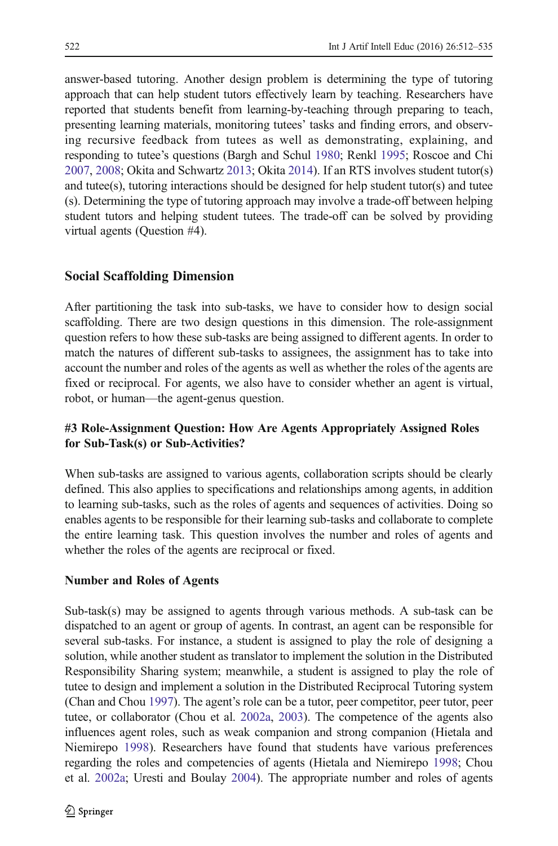answer-based tutoring. Another design problem is determining the type of tutoring approach that can help student tutors effectively learn by teaching. Researchers have reported that students benefit from learning-by-teaching through preparing to teach, presenting learning materials, monitoring tutees' tasks and finding errors, and observing recursive feedback from tutees as well as demonstrating, explaining, and responding to tutee's questions (Bargh and Schul [1980;](#page-20-0) Renkl [1995](#page-22-0); Roscoe and Chi [2007,](#page-22-0) [2008;](#page-23-0) Okita and Schwartz [2013](#page-22-0); Okita [2014\)](#page-22-0). If an RTS involves student tutor(s) and tutee(s), tutoring interactions should be designed for help student tutor(s) and tutee (s). Determining the type of tutoring approach may involve a trade-off between helping student tutors and helping student tutees. The trade-off can be solved by providing virtual agents (Question #4).

# Social Scaffolding Dimension

After partitioning the task into sub-tasks, we have to consider how to design social scaffolding. There are two design questions in this dimension. The role-assignment question refers to how these sub-tasks are being assigned to different agents. In order to match the natures of different sub-tasks to assignees, the assignment has to take into account the number and roles of the agents as well as whether the roles of the agents are fixed or reciprocal. For agents, we also have to consider whether an agent is virtual, robot, or human—the agent-genus question.

# #3 Role-Assignment Question: How Are Agents Appropriately Assigned Roles for Sub-Task(s) or Sub-Activities?

When sub-tasks are assigned to various agents, collaboration scripts should be clearly defined. This also applies to specifications and relationships among agents, in addition to learning sub-tasks, such as the roles of agents and sequences of activities. Doing so enables agents to be responsible for their learning sub-tasks and collaborate to complete the entire learning task. This question involves the number and roles of agents and whether the roles of the agents are reciprocal or fixed.

#### Number and Roles of Agents

Sub-task(s) may be assigned to agents through various methods. A sub-task can be dispatched to an agent or group of agents. In contrast, an agent can be responsible for several sub-tasks. For instance, a student is assigned to play the role of designing a solution, while another student as translator to implement the solution in the Distributed Responsibility Sharing system; meanwhile, a student is assigned to play the role of tutee to design and implement a solution in the Distributed Reciprocal Tutoring system (Chan and Chou [1997\)](#page-20-0). The agent's role can be a tutor, peer competitor, peer tutor, peer tutee, or collaborator (Chou et al. [2002a](#page-21-0), [2003](#page-21-0)). The competence of the agents also influences agent roles, such as weak companion and strong companion (Hietala and Niemirepo [1998](#page-21-0)). Researchers have found that students have various preferences regarding the roles and competencies of agents (Hietala and Niemirepo [1998;](#page-21-0) Chou et al. [2002a;](#page-21-0) Uresti and Boulay [2004\)](#page-23-0). The appropriate number and roles of agents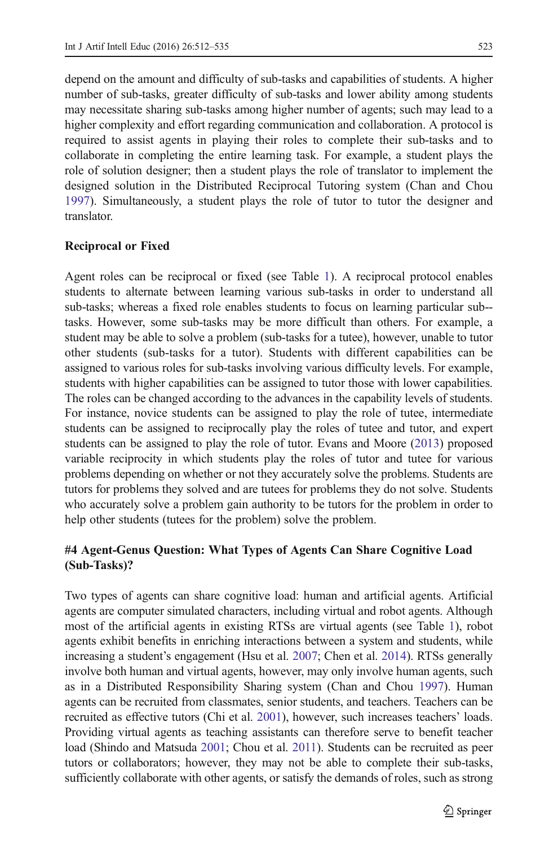depend on the amount and difficulty of sub-tasks and capabilities of students. A higher number of sub-tasks, greater difficulty of sub-tasks and lower ability among students may necessitate sharing sub-tasks among higher number of agents; such may lead to a higher complexity and effort regarding communication and collaboration. A protocol is required to assist agents in playing their roles to complete their sub-tasks and to collaborate in completing the entire learning task. For example, a student plays the role of solution designer; then a student plays the role of translator to implement the designed solution in the Distributed Reciprocal Tutoring system (Chan and Chou [1997\)](#page-20-0). Simultaneously, a student plays the role of tutor to tutor the designer and translator.

#### Reciprocal or Fixed

Agent roles can be reciprocal or fixed (see Table [1](#page-8-0)). A reciprocal protocol enables students to alternate between learning various sub-tasks in order to understand all tasks. However, some sub-tasks may be more difficult than others. For example, a student may be able to solve a problem (sub-tasks for a tutee), however, unable to tutor other students (sub-tasks for a tutor). Students with different capabilities can be assigned to various roles for sub-tasks involving various difficulty levels. For example, students with higher capabilities can be assigned to tutor those with lower capabilities. The roles can be changed according to the advances in the capability levels of students. For instance, novice students can be assigned to play the role of tutee, intermediate students can be assigned to reciprocally play the roles of tutee and tutor, and expert students can be assigned to play the role of tutor. Evans and Moore ([2013](#page-21-0)) proposed variable reciprocity in which students play the roles of tutor and tutee for various problems depending on whether or not they accurately solve the problems. Students are tutors for problems they solved and are tutees for problems they do not solve. Students who accurately solve a problem gain authority to be tutors for the problem in order to help other students (tutees for the problem) solve the problem. sub-tasks; whereas a fixed role enables students to focus on learning particular sub--

# #4 Agent-Genus Question: What Types of Agents Can Share Cognitive Load (Sub-Tasks)?

Two types of agents can share cognitive load: human and artificial agents. Artificial agents are computer simulated characters, including virtual and robot agents. Although most of the artificial agents in existing RTSs are virtual agents (see Table [1](#page-8-0)), robot agents exhibit benefits in enriching interactions between a system and students, while increasing a student's engagement (Hsu et al. [2007](#page-21-0); Chen et al. [2014](#page-21-0)). RTSs generally involve both human and virtual agents, however, may only involve human agents, such as in a Distributed Responsibility Sharing system (Chan and Chou [1997\)](#page-20-0). Human agents can be recruited from classmates, senior students, and teachers. Teachers can be recruited as effective tutors (Chi et al. [2001](#page-21-0)), however, such increases teachers' loads. Providing virtual agents as teaching assistants can therefore serve to benefit teacher load (Shindo and Matsuda [2001;](#page-23-0) Chou et al. [2011\)](#page-21-0). Students can be recruited as peer tutors or collaborators; however, they may not be able to complete their sub-tasks, sufficiently collaborate with other agents, or satisfy the demands of roles, such as strong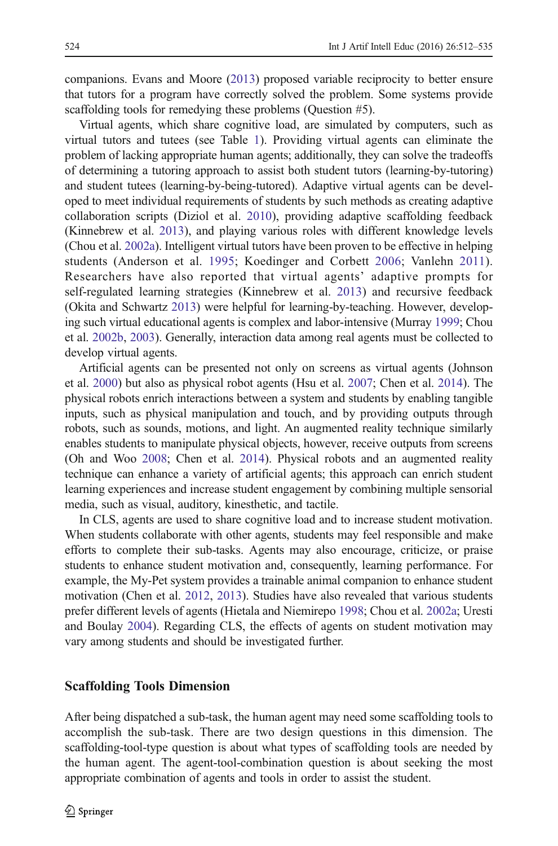companions. Evans and Moore ([2013](#page-21-0)) proposed variable reciprocity to better ensure that tutors for a program have correctly solved the problem. Some systems provide scaffolding tools for remedying these problems (Question #5).

Virtual agents, which share cognitive load, are simulated by computers, such as virtual tutors and tutees (see Table [1\)](#page-8-0). Providing virtual agents can eliminate the problem of lacking appropriate human agents; additionally, they can solve the tradeoffs of determining a tutoring approach to assist both student tutors (learning-by-tutoring) and student tutees (learning-by-being-tutored). Adaptive virtual agents can be developed to meet individual requirements of students by such methods as creating adaptive collaboration scripts (Diziol et al. [2010](#page-21-0)), providing adaptive scaffolding feedback (Kinnebrew et al. [2013](#page-22-0)), and playing various roles with different knowledge levels (Chou et al. [2002a\)](#page-21-0). Intelligent virtual tutors have been proven to be effective in helping students (Anderson et al. [1995;](#page-20-0) Koedinger and Corbett [2006](#page-22-0); Vanlehn [2011](#page-23-0)). Researchers have also reported that virtual agents' adaptive prompts for self-regulated learning strategies (Kinnebrew et al. [2013](#page-22-0)) and recursive feedback (Okita and Schwartz [2013\)](#page-22-0) were helpful for learning-by-teaching. However, developing such virtual educational agents is complex and labor-intensive (Murray [1999](#page-22-0); Chou et al. [2002b](#page-21-0), [2003](#page-21-0)). Generally, interaction data among real agents must be collected to develop virtual agents.

Artificial agents can be presented not only on screens as virtual agents (Johnson et al. [2000\)](#page-22-0) but also as physical robot agents (Hsu et al. [2007;](#page-21-0) Chen et al. [2014\)](#page-21-0). The physical robots enrich interactions between a system and students by enabling tangible inputs, such as physical manipulation and touch, and by providing outputs through robots, such as sounds, motions, and light. An augmented reality technique similarly enables students to manipulate physical objects, however, receive outputs from screens (Oh and Woo [2008;](#page-22-0) Chen et al. [2014\)](#page-21-0). Physical robots and an augmented reality technique can enhance a variety of artificial agents; this approach can enrich student learning experiences and increase student engagement by combining multiple sensorial media, such as visual, auditory, kinesthetic, and tactile.

In CLS, agents are used to share cognitive load and to increase student motivation. When students collaborate with other agents, students may feel responsible and make efforts to complete their sub-tasks. Agents may also encourage, criticize, or praise students to enhance student motivation and, consequently, learning performance. For example, the My-Pet system provides a trainable animal companion to enhance student motivation (Chen et al. [2012](#page-21-0), [2013\)](#page-21-0). Studies have also revealed that various students prefer different levels of agents (Hietala and Niemirepo [1998;](#page-21-0) Chou et al. [2002a;](#page-21-0) Uresti and Boulay [2004\)](#page-23-0). Regarding CLS, the effects of agents on student motivation may vary among students and should be investigated further.

#### Scaffolding Tools Dimension

After being dispatched a sub-task, the human agent may need some scaffolding tools to accomplish the sub-task. There are two design questions in this dimension. The scaffolding-tool-type question is about what types of scaffolding tools are needed by the human agent. The agent-tool-combination question is about seeking the most appropriate combination of agents and tools in order to assist the student.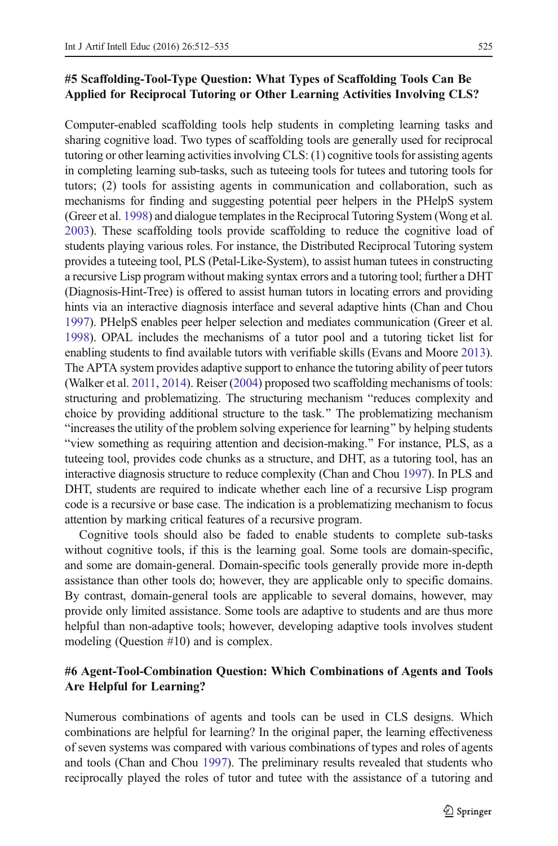# #5 Scaffolding-Tool-Type Question: What Types of Scaffolding Tools Can Be Applied for Reciprocal Tutoring or Other Learning Activities Involving CLS?

Computer-enabled scaffolding tools help students in completing learning tasks and sharing cognitive load. Two types of scaffolding tools are generally used for reciprocal tutoring or other learning activities involving CLS: (1) cognitive tools for assisting agents in completing learning sub-tasks, such as tuteeing tools for tutees and tutoring tools for tutors; (2) tools for assisting agents in communication and collaboration, such as mechanisms for finding and suggesting potential peer helpers in the PHelpS system (Greer et al. [1998\)](#page-21-0) and dialogue templates in the Reciprocal Tutoring System (Wong et al. [2003\)](#page-23-0). These scaffolding tools provide scaffolding to reduce the cognitive load of students playing various roles. For instance, the Distributed Reciprocal Tutoring system provides a tuteeing tool, PLS (Petal-Like-System), to assist human tutees in constructing a recursive Lisp program without making syntax errors and a tutoring tool; further a DHT (Diagnosis-Hint-Tree) is offered to assist human tutors in locating errors and providing hints via an interactive diagnosis interface and several adaptive hints (Chan and Chou [1997](#page-20-0)). PHelpS enables peer helper selection and mediates communication (Greer et al. [1998](#page-21-0)). OPAL includes the mechanisms of a tutor pool and a tutoring ticket list for enabling students to find available tutors with verifiable skills (Evans and Moore [2013\)](#page-21-0). The APTA system provides adaptive support to enhance the tutoring ability of peer tutors (Walker et al. [2011,](#page-23-0) [2014\)](#page-23-0). Reiser [\(2004](#page-22-0)) proposed two scaffolding mechanisms of tools: structuring and problematizing. The structuring mechanism "reduces complexity and choice by providing additional structure to the task.^ The problematizing mechanism "increases the utility of the problem solving experience for learning" by helping students "view something as requiring attention and decision-making." For instance, PLS, as a tuteeing tool, provides code chunks as a structure, and DHT, as a tutoring tool, has an interactive diagnosis structure to reduce complexity (Chan and Chou [1997\)](#page-20-0). In PLS and DHT, students are required to indicate whether each line of a recursive Lisp program code is a recursive or base case. The indication is a problematizing mechanism to focus attention by marking critical features of a recursive program.

Cognitive tools should also be faded to enable students to complete sub-tasks without cognitive tools, if this is the learning goal. Some tools are domain-specific, and some are domain-general. Domain-specific tools generally provide more in-depth assistance than other tools do; however, they are applicable only to specific domains. By contrast, domain-general tools are applicable to several domains, however, may provide only limited assistance. Some tools are adaptive to students and are thus more helpful than non-adaptive tools; however, developing adaptive tools involves student modeling (Question #10) and is complex.

# #6 Agent-Tool-Combination Question: Which Combinations of Agents and Tools Are Helpful for Learning?

Numerous combinations of agents and tools can be used in CLS designs. Which combinations are helpful for learning? In the original paper, the learning effectiveness of seven systems was compared with various combinations of types and roles of agents and tools (Chan and Chou [1997](#page-20-0)). The preliminary results revealed that students who reciprocally played the roles of tutor and tutee with the assistance of a tutoring and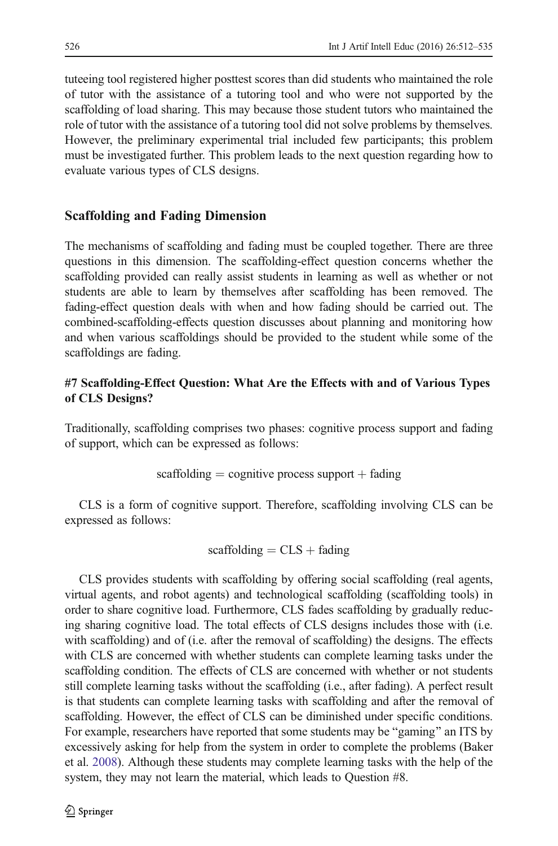tuteeing tool registered higher posttest scores than did students who maintained the role of tutor with the assistance of a tutoring tool and who were not supported by the scaffolding of load sharing. This may because those student tutors who maintained the role of tutor with the assistance of a tutoring tool did not solve problems by themselves. However, the preliminary experimental trial included few participants; this problem must be investigated further. This problem leads to the next question regarding how to evaluate various types of CLS designs.

### Scaffolding and Fading Dimension

The mechanisms of scaffolding and fading must be coupled together. There are three questions in this dimension. The scaffolding-effect question concerns whether the scaffolding provided can really assist students in learning as well as whether or not students are able to learn by themselves after scaffolding has been removed. The fading-effect question deals with when and how fading should be carried out. The combined-scaffolding-effects question discusses about planning and monitoring how and when various scaffoldings should be provided to the student while some of the scaffoldings are fading.

# #7 Scaffolding-Effect Question: What Are the Effects with and of Various Types of CLS Designs?

Traditionally, scaffolding comprises two phases: cognitive process support and fading of support, which can be expressed as follows:

scaffolding  $=$  cognitive process support  $+$  fading

CLS is a form of cognitive support. Therefore, scaffolding involving CLS can be expressed as follows:

$$
scaffolding = CLS + fading
$$

CLS provides students with scaffolding by offering social scaffolding (real agents, virtual agents, and robot agents) and technological scaffolding (scaffolding tools) in order to share cognitive load. Furthermore, CLS fades scaffolding by gradually reducing sharing cognitive load. The total effects of CLS designs includes those with (i.e. with scaffolding) and of (i.e. after the removal of scaffolding) the designs. The effects with CLS are concerned with whether students can complete learning tasks under the scaffolding condition. The effects of CLS are concerned with whether or not students still complete learning tasks without the scaffolding (i.e., after fading). A perfect result is that students can complete learning tasks with scaffolding and after the removal of scaffolding. However, the effect of CLS can be diminished under specific conditions. For example, researchers have reported that some students may be "gaming" an ITS by excessively asking for help from the system in order to complete the problems (Baker et al. [2008](#page-20-0)). Although these students may complete learning tasks with the help of the system, they may not learn the material, which leads to Question #8.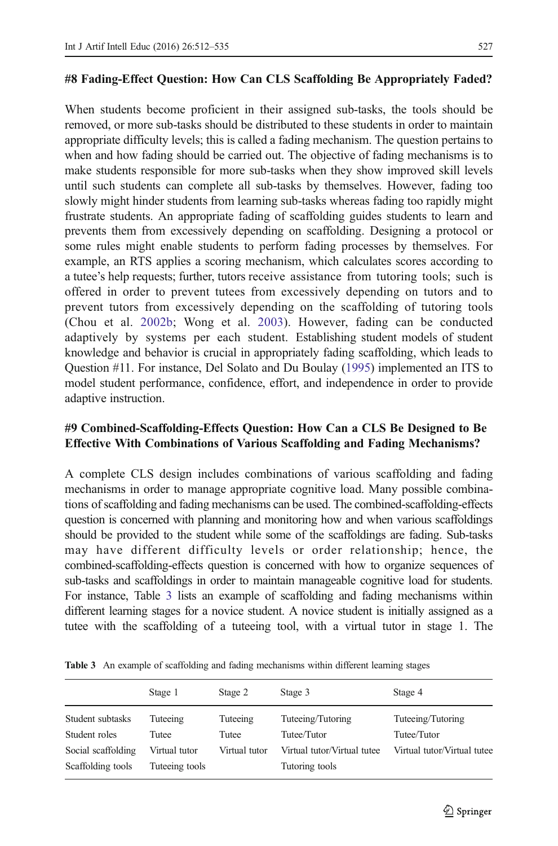#### #8 Fading-Effect Question: How Can CLS Scaffolding Be Appropriately Faded?

When students become proficient in their assigned sub-tasks, the tools should be removed, or more sub-tasks should be distributed to these students in order to maintain appropriate difficulty levels; this is called a fading mechanism. The question pertains to when and how fading should be carried out. The objective of fading mechanisms is to make students responsible for more sub-tasks when they show improved skill levels until such students can complete all sub-tasks by themselves. However, fading too slowly might hinder students from learning sub-tasks whereas fading too rapidly might frustrate students. An appropriate fading of scaffolding guides students to learn and prevents them from excessively depending on scaffolding. Designing a protocol or some rules might enable students to perform fading processes by themselves. For example, an RTS applies a scoring mechanism, which calculates scores according to a tutee's help requests; further, tutors receive assistance from tutoring tools; such is offered in order to prevent tutees from excessively depending on tutors and to prevent tutors from excessively depending on the scaffolding of tutoring tools (Chou et al. [2002b](#page-21-0); Wong et al. [2003](#page-23-0)). However, fading can be conducted adaptively by systems per each student. Establishing student models of student knowledge and behavior is crucial in appropriately fading scaffolding, which leads to Question #11. For instance, Del Solato and Du Boulay [\(1995\)](#page-21-0) implemented an ITS to model student performance, confidence, effort, and independence in order to provide adaptive instruction.

## #9 Combined-Scaffolding-Effects Question: How Can a CLS Be Designed to Be Effective With Combinations of Various Scaffolding and Fading Mechanisms?

A complete CLS design includes combinations of various scaffolding and fading mechanisms in order to manage appropriate cognitive load. Many possible combinations of scaffolding and fading mechanisms can be used. The combined-scaffolding-effects question is concerned with planning and monitoring how and when various scaffoldings should be provided to the student while some of the scaffoldings are fading. Sub-tasks may have different difficulty levels or order relationship; hence, the combined-scaffolding-effects question is concerned with how to organize sequences of sub-tasks and scaffoldings in order to maintain manageable cognitive load for students. For instance, Table 3 lists an example of scaffolding and fading mechanisms within different learning stages for a novice student. A novice student is initially assigned as a tutee with the scaffolding of a tuteeing tool, with a virtual tutor in stage 1. The

|                                         | Stage 1                         | Stage 2           | Stage 3                                       | Stage 4                          |
|-----------------------------------------|---------------------------------|-------------------|-----------------------------------------------|----------------------------------|
| Student subtasks<br>Student roles       | Tuteeing<br>Tutee               | Tuteeing<br>Tutee | Tuteeing/Tutoring<br>Tutee/Tutor              | Tuteeing/Tutoring<br>Tutee/Tutor |
| Social scaffolding<br>Scaffolding tools | Virtual tutor<br>Tuteeing tools | Virtual tutor     | Virtual tutor/Virtual tutee<br>Tutoring tools | Virtual tutor/Virtual tutee      |

Table 3 An example of scaffolding and fading mechanisms within different learning stages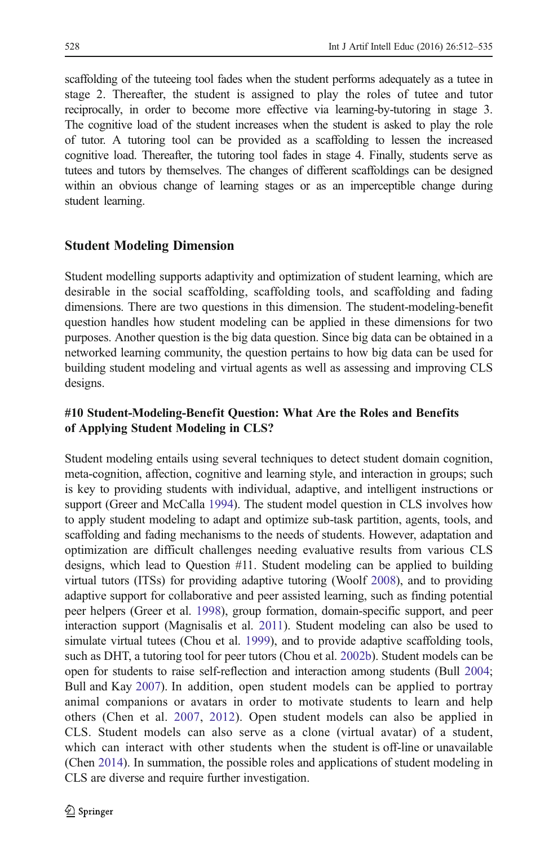scaffolding of the tuteeing tool fades when the student performs adequately as a tutee in stage 2. Thereafter, the student is assigned to play the roles of tutee and tutor reciprocally, in order to become more effective via learning-by-tutoring in stage 3. The cognitive load of the student increases when the student is asked to play the role of tutor. A tutoring tool can be provided as a scaffolding to lessen the increased cognitive load. Thereafter, the tutoring tool fades in stage 4. Finally, students serve as tutees and tutors by themselves. The changes of different scaffoldings can be designed within an obvious change of learning stages or as an imperceptible change during student learning.

### Student Modeling Dimension

Student modelling supports adaptivity and optimization of student learning, which are desirable in the social scaffolding, scaffolding tools, and scaffolding and fading dimensions. There are two questions in this dimension. The student-modeling-benefit question handles how student modeling can be applied in these dimensions for two purposes. Another question is the big data question. Since big data can be obtained in a networked learning community, the question pertains to how big data can be used for building student modeling and virtual agents as well as assessing and improving CLS designs.

# #10 Student-Modeling-Benefit Question: What Are the Roles and Benefits of Applying Student Modeling in CLS?

Student modeling entails using several techniques to detect student domain cognition, meta-cognition, affection, cognitive and learning style, and interaction in groups; such is key to providing students with individual, adaptive, and intelligent instructions or support (Greer and McCalla [1994\)](#page-21-0). The student model question in CLS involves how to apply student modeling to adapt and optimize sub-task partition, agents, tools, and scaffolding and fading mechanisms to the needs of students. However, adaptation and optimization are difficult challenges needing evaluative results from various CLS designs, which lead to Question #11. Student modeling can be applied to building virtual tutors (ITSs) for providing adaptive tutoring (Woolf [2008\)](#page-23-0), and to providing adaptive support for collaborative and peer assisted learning, such as finding potential peer helpers (Greer et al. [1998\)](#page-21-0), group formation, domain-specific support, and peer interaction support (Magnisalis et al. [2011](#page-22-0)). Student modeling can also be used to simulate virtual tutees (Chou et al. [1999\)](#page-21-0), and to provide adaptive scaffolding tools, such as DHT, a tutoring tool for peer tutors (Chou et al. [2002b\)](#page-21-0). Student models can be open for students to raise self-reflection and interaction among students (Bull [2004;](#page-20-0) Bull and Kay [2007\)](#page-20-0). In addition, open student models can be applied to portray animal companions or avatars in order to motivate students to learn and help others (Chen et al. [2007,](#page-21-0) [2012](#page-21-0)). Open student models can also be applied in CLS. Student models can also serve as a clone (virtual avatar) of a student, which can interact with other students when the student is off-line or unavailable (Chen [2014\)](#page-21-0). In summation, the possible roles and applications of student modeling in CLS are diverse and require further investigation.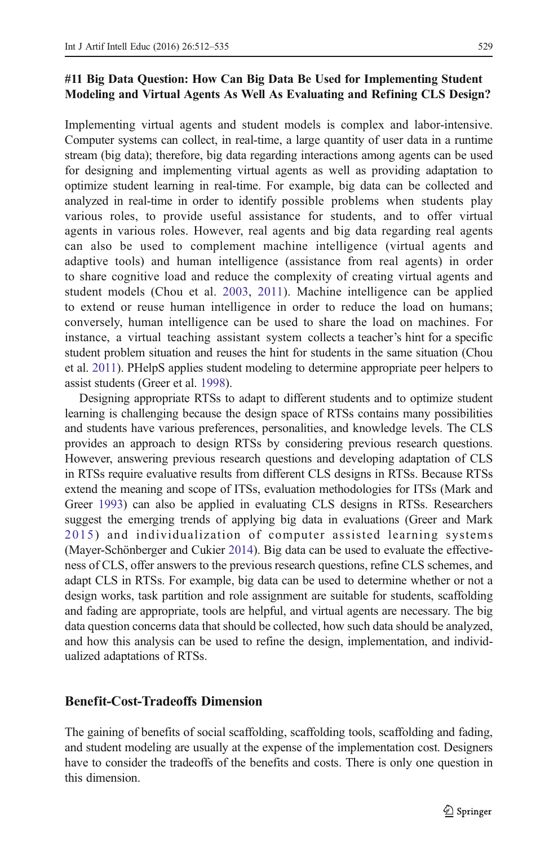# #11 Big Data Question: How Can Big Data Be Used for Implementing Student Modeling and Virtual Agents As Well As Evaluating and Refining CLS Design?

Implementing virtual agents and student models is complex and labor-intensive. Computer systems can collect, in real-time, a large quantity of user data in a runtime stream (big data); therefore, big data regarding interactions among agents can be used for designing and implementing virtual agents as well as providing adaptation to optimize student learning in real-time. For example, big data can be collected and analyzed in real-time in order to identify possible problems when students play various roles, to provide useful assistance for students, and to offer virtual agents in various roles. However, real agents and big data regarding real agents can also be used to complement machine intelligence (virtual agents and adaptive tools) and human intelligence (assistance from real agents) in order to share cognitive load and reduce the complexity of creating virtual agents and student models (Chou et al. [2003,](#page-21-0) [2011](#page-21-0)). Machine intelligence can be applied to extend or reuse human intelligence in order to reduce the load on humans; conversely, human intelligence can be used to share the load on machines. For instance, a virtual teaching assistant system collects a teacher's hint for a specific student problem situation and reuses the hint for students in the same situation (Chou et al. [2011\)](#page-21-0). PHelpS applies student modeling to determine appropriate peer helpers to assist students (Greer et al. [1998\)](#page-21-0).

Designing appropriate RTSs to adapt to different students and to optimize student learning is challenging because the design space of RTSs contains many possibilities and students have various preferences, personalities, and knowledge levels. The CLS provides an approach to design RTSs by considering previous research questions. However, answering previous research questions and developing adaptation of CLS in RTSs require evaluative results from different CLS designs in RTSs. Because RTSs extend the meaning and scope of ITSs, evaluation methodologies for ITSs (Mark and Greer [1993\)](#page-22-0) can also be applied in evaluating CLS designs in RTSs. Researchers suggest the emerging trends of applying big data in evaluations (Greer and Mark [2015\)](#page-21-0) and individualization of computer assisted learning systems (Mayer-Schönberger and Cukier [2014\)](#page-22-0). Big data can be used to evaluate the effectiveness of CLS, offer answers to the previous research questions, refine CLS schemes, and adapt CLS in RTSs. For example, big data can be used to determine whether or not a design works, task partition and role assignment are suitable for students, scaffolding and fading are appropriate, tools are helpful, and virtual agents are necessary. The big data question concerns data that should be collected, how such data should be analyzed, and how this analysis can be used to refine the design, implementation, and individualized adaptations of RTSs.

### Benefit-Cost-Tradeoffs Dimension

The gaining of benefits of social scaffolding, scaffolding tools, scaffolding and fading, and student modeling are usually at the expense of the implementation cost. Designers have to consider the tradeoffs of the benefits and costs. There is only one question in this dimension.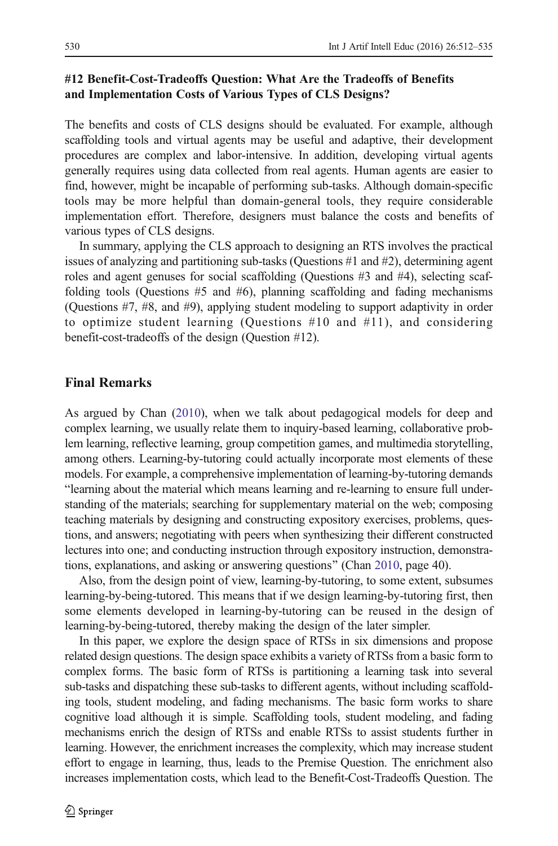# #12 Benefit-Cost-Tradeoffs Question: What Are the Tradeoffs of Benefits and Implementation Costs of Various Types of CLS Designs?

The benefits and costs of CLS designs should be evaluated. For example, although scaffolding tools and virtual agents may be useful and adaptive, their development procedures are complex and labor-intensive. In addition, developing virtual agents generally requires using data collected from real agents. Human agents are easier to find, however, might be incapable of performing sub-tasks. Although domain-specific tools may be more helpful than domain-general tools, they require considerable implementation effort. Therefore, designers must balance the costs and benefits of various types of CLS designs.

In summary, applying the CLS approach to designing an RTS involves the practical issues of analyzing and partitioning sub-tasks (Questions #1 and #2), determining agent roles and agent genuses for social scaffolding (Questions #3 and #4), selecting scaffolding tools (Questions #5 and #6), planning scaffolding and fading mechanisms (Questions #7, #8, and #9), applying student modeling to support adaptivity in order to optimize student learning (Questions #10 and #11), and considering benefit-cost-tradeoffs of the design (Question #12).

### Final Remarks

As argued by Chan ([2010](#page-20-0)), when we talk about pedagogical models for deep and complex learning, we usually relate them to inquiry-based learning, collaborative problem learning, reflective learning, group competition games, and multimedia storytelling, among others. Learning-by-tutoring could actually incorporate most elements of these models. For example, a comprehensive implementation of learning-by-tutoring demands "learning about the material which means learning and re-learning to ensure full understanding of the materials; searching for supplementary material on the web; composing teaching materials by designing and constructing expository exercises, problems, questions, and answers; negotiating with peers when synthesizing their different constructed lectures into one; and conducting instruction through expository instruction, demonstrations, explanations, and asking or answering questions^ (Chan [2010,](#page-20-0) page 40).

Also, from the design point of view, learning-by-tutoring, to some extent, subsumes learning-by-being-tutored. This means that if we design learning-by-tutoring first, then some elements developed in learning-by-tutoring can be reused in the design of learning-by-being-tutored, thereby making the design of the later simpler.

In this paper, we explore the design space of RTSs in six dimensions and propose related design questions. The design space exhibits a variety of RTSs from a basic form to complex forms. The basic form of RTSs is partitioning a learning task into several sub-tasks and dispatching these sub-tasks to different agents, without including scaffolding tools, student modeling, and fading mechanisms. The basic form works to share cognitive load although it is simple. Scaffolding tools, student modeling, and fading mechanisms enrich the design of RTSs and enable RTSs to assist students further in learning. However, the enrichment increases the complexity, which may increase student effort to engage in learning, thus, leads to the Premise Question. The enrichment also increases implementation costs, which lead to the Benefit-Cost-Tradeoffs Question. The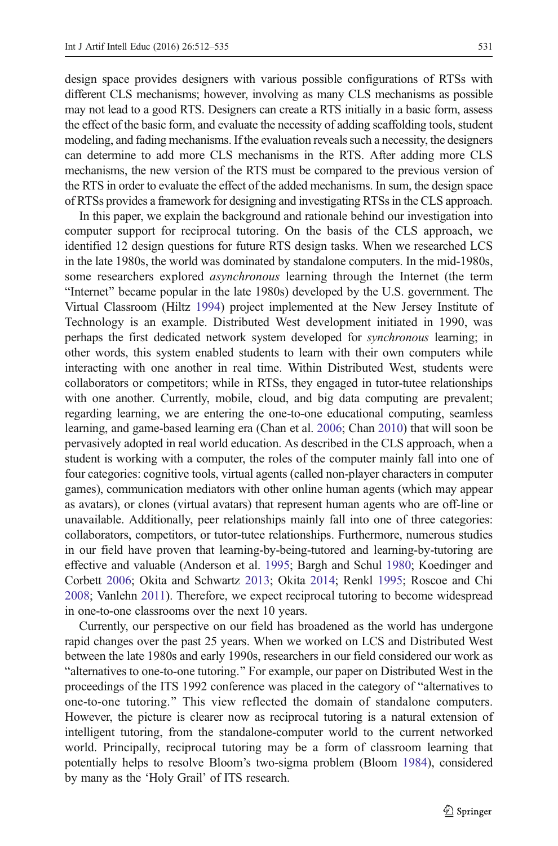design space provides designers with various possible configurations of RTSs with different CLS mechanisms; however, involving as many CLS mechanisms as possible may not lead to a good RTS. Designers can create a RTS initially in a basic form, assess the effect of the basic form, and evaluate the necessity of adding scaffolding tools, student modeling, and fading mechanisms. If the evaluation reveals such a necessity, the designers can determine to add more CLS mechanisms in the RTS. After adding more CLS mechanisms, the new version of the RTS must be compared to the previous version of the RTS in order to evaluate the effect of the added mechanisms. In sum, the design space of RTSs provides a framework for designing and investigating RTSs in the CLS approach.

In this paper, we explain the background and rationale behind our investigation into computer support for reciprocal tutoring. On the basis of the CLS approach, we identified 12 design questions for future RTS design tasks. When we researched LCS in the late 1980s, the world was dominated by standalone computers. In the mid-1980s, some researchers explored *asynchronous* learning through the Internet (the term BInternet^ became popular in the late 1980s) developed by the U.S. government. The Virtual Classroom (Hiltz [1994\)](#page-21-0) project implemented at the New Jersey Institute of Technology is an example. Distributed West development initiated in 1990, was perhaps the first dedicated network system developed for synchronous learning; in other words, this system enabled students to learn with their own computers while interacting with one another in real time. Within Distributed West, students were collaborators or competitors; while in RTSs, they engaged in tutor-tutee relationships with one another. Currently, mobile, cloud, and big data computing are prevalent; regarding learning, we are entering the one-to-one educational computing, seamless learning, and game-based learning era (Chan et al. [2006](#page-21-0); Chan [2010\)](#page-20-0) that will soon be pervasively adopted in real world education. As described in the CLS approach, when a student is working with a computer, the roles of the computer mainly fall into one of four categories: cognitive tools, virtual agents (called non-player characters in computer games), communication mediators with other online human agents (which may appear as avatars), or clones (virtual avatars) that represent human agents who are off-line or unavailable. Additionally, peer relationships mainly fall into one of three categories: collaborators, competitors, or tutor-tutee relationships. Furthermore, numerous studies in our field have proven that learning-by-being-tutored and learning-by-tutoring are effective and valuable (Anderson et al. [1995](#page-20-0); Bargh and Schul [1980;](#page-20-0) Koedinger and Corbett [2006](#page-22-0); Okita and Schwartz [2013;](#page-22-0) Okita [2014;](#page-22-0) Renkl [1995](#page-22-0); Roscoe and Chi [2008;](#page-23-0) Vanlehn [2011\)](#page-23-0). Therefore, we expect reciprocal tutoring to become widespread in one-to-one classrooms over the next 10 years.

Currently, our perspective on our field has broadened as the world has undergone rapid changes over the past 25 years. When we worked on LCS and Distributed West between the late 1980s and early 1990s, researchers in our field considered our work as Balternatives to one-to-one tutoring.^ For example, our paper on Distributed West in the proceedings of the ITS 1992 conference was placed in the category of "alternatives to one-to-one tutoring.^ This view reflected the domain of standalone computers. However, the picture is clearer now as reciprocal tutoring is a natural extension of intelligent tutoring, from the standalone-computer world to the current networked world. Principally, reciprocal tutoring may be a form of classroom learning that potentially helps to resolve Bloom's two-sigma problem (Bloom [1984\)](#page-20-0), considered by many as the 'Holy Grail' of ITS research.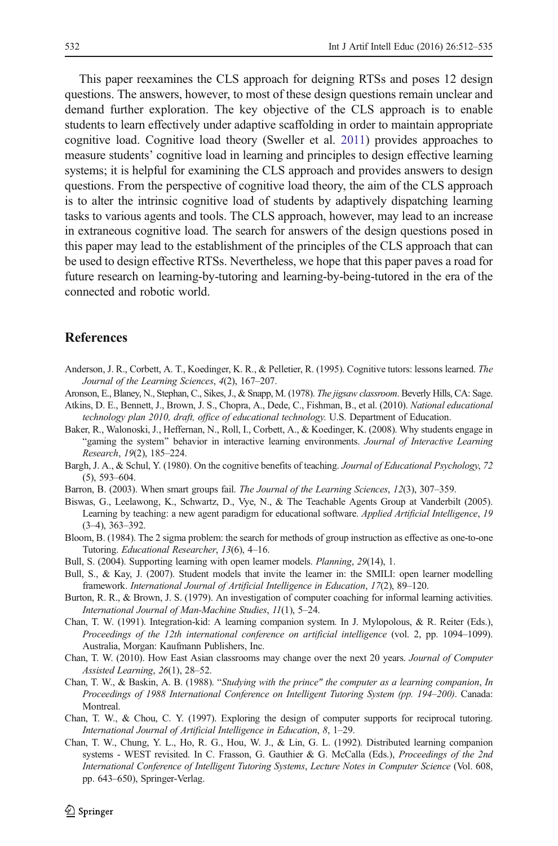<span id="page-20-0"></span>This paper reexamines the CLS approach for deigning RTSs and poses 12 design questions. The answers, however, to most of these design questions remain unclear and demand further exploration. The key objective of the CLS approach is to enable students to learn effectively under adaptive scaffolding in order to maintain appropriate cognitive load. Cognitive load theory (Sweller et al. [2011\)](#page-23-0) provides approaches to measure students' cognitive load in learning and principles to design effective learning systems; it is helpful for examining the CLS approach and provides answers to design questions. From the perspective of cognitive load theory, the aim of the CLS approach is to alter the intrinsic cognitive load of students by adaptively dispatching learning tasks to various agents and tools. The CLS approach, however, may lead to an increase in extraneous cognitive load. The search for answers of the design questions posed in this paper may lead to the establishment of the principles of the CLS approach that can be used to design effective RTSs. Nevertheless, we hope that this paper paves a road for future research on learning-by-tutoring and learning-by-being-tutored in the era of the connected and robotic world.

## **References**

- Anderson, J. R., Corbett, A. T., Koedinger, K. R., & Pelletier, R. (1995). Cognitive tutors: lessons learned. The Journal of the Learning Sciences, 4(2), 167–207.
- Aronson, E., Blaney, N., Stephan, C., Sikes, J., & Snapp, M. (1978). The jigsaw classroom. Beverly Hills, CA: Sage.
- Atkins, D. E., Bennett, J., Brown, J. S., Chopra, A., Dede, C., Fishman, B., et al. (2010). National educational technology plan 2010, draft, office of educational technology. U.S. Department of Education.
- Baker, R., Walonoski, J., Heffernan, N., Roll, I., Corbett, A., & Koedinger, K. (2008). Why students engage in "gaming the system" behavior in interactive learning environments. Journal of Interactive Learning Research, 19(2), 185–224.
- Bargh, J. A., & Schul, Y. (1980). On the cognitive benefits of teaching. Journal of Educational Psychology, 72 (5), 593–604.
- Barron, B. (2003). When smart groups fail. The Journal of the Learning Sciences, 12(3), 307–359.
- Biswas, G., Leelawong, K., Schwartz, D., Vye, N., & The Teachable Agents Group at Vanderbilt (2005). Learning by teaching: a new agent paradigm for educational software. Applied Artificial Intelligence, 19 (3–4), 363–392.
- Bloom, B. (1984). The 2 sigma problem: the search for methods of group instruction as effective as one-to-one Tutoring. Educational Researcher, 13(6), 4–16.
- Bull, S. (2004). Supporting learning with open learner models. Planning, 29(14), 1.
- Bull, S., & Kay, J. (2007). Student models that invite the learner in: the SMILI: open learner modelling framework. International Journal of Artificial Intelligence in Education, 17(2), 89–120.
- Burton, R. R., & Brown, J. S. (1979). An investigation of computer coaching for informal learning activities. International Journal of Man-Machine Studies, 11(1), 5–24.
- Chan, T. W. (1991). Integration-kid: A learning companion system. In J. Mylopolous, & R. Reiter (Eds.), Proceedings of the 12th international conference on artificial intelligence (vol. 2, pp. 1094–1099). Australia, Morgan: Kaufmann Publishers, Inc.
- Chan, T. W. (2010). How East Asian classrooms may change over the next 20 years. Journal of Computer Assisted Learning, 26(1), 28–52.
- Chan, T. W., & Baskin, A. B. (1988). "Studying with the prince" the computer as a learning companion, In Proceedings of 1988 International Conference on Intelligent Tutoring System (pp. 194–200). Canada: Montreal.
- Chan, T. W., & Chou, C. Y. (1997). Exploring the design of computer supports for reciprocal tutoring. International Journal of Artificial Intelligence in Education, 8, 1–29.
- Chan, T. W., Chung, Y. L., Ho, R. G., Hou, W. J., & Lin, G. L. (1992). Distributed learning companion systems - WEST revisited. In C. Frasson, G. Gauthier & G. McCalla (Eds.), Proceedings of the 2nd International Conference of Intelligent Tutoring Systems, Lecture Notes in Computer Science (Vol. 608, pp. 643–650), Springer-Verlag.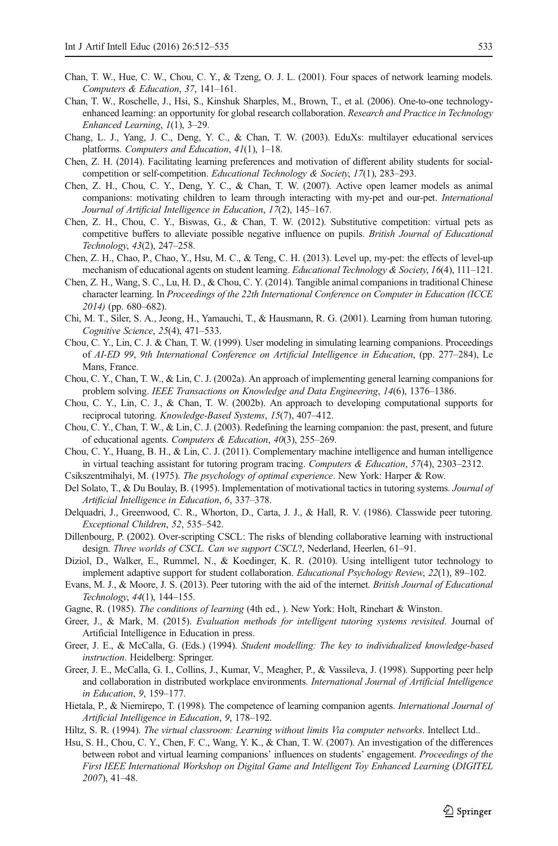- <span id="page-21-0"></span>Chan, T. W., Hue, C. W., Chou, C. Y., & Tzeng, O. J. L. (2001). Four spaces of network learning models. Computers & Education, 37, 141–161.
- Chan, T. W., Roschelle, J., Hsi, S., Kinshuk Sharples, M., Brown, T., et al. (2006). One-to-one technologyenhanced learning: an opportunity for global research collaboration. Research and Practice in Technology Enhanced Learning, 1(1), 3–29.
- Chang, L. J., Yang, J. C., Deng, Y. C., & Chan, T. W. (2003). EduXs: multilayer educational services platforms. Computers and Education, 41(1), 1–18.
- Chen, Z. H. (2014). Facilitating learning preferences and motivation of different ability students for socialcompetition or self-competition. Educational Technology & Society, 17(1), 283–293.
- Chen, Z. H., Chou, C. Y., Deng, Y. C., & Chan, T. W. (2007). Active open learner models as animal companions: motivating children to learn through interacting with my-pet and our-pet. International Journal of Artificial Intelligence in Education, 17(2), 145–167.
- Chen, Z. H., Chou, C. Y., Biswas, G., & Chan, T. W. (2012). Substitutive competition: virtual pets as competitive buffers to alleviate possible negative influence on pupils. British Journal of Educational Technology, 43(2), 247–258.
- Chen, Z. H., Chao, P., Chao, Y., Hsu, M. C., & Teng, C. H. (2013). Level up, my-pet: the effects of level-up mechanism of educational agents on student learning. *Educational Technology & Society, 16*(4), 111–121.
- Chen, Z. H., Wang, S. C., Lu, H. D., & Chou, C. Y. (2014). Tangible animal companions in traditional Chinese character learning. In Proceedings of the 22th International Conference on Computer in Education (ICCE 2014) (pp. 680–682).
- Chi, M. T., Siler, S. A., Jeong, H., Yamauchi, T., & Hausmann, R. G. (2001). Learning from human tutoring. Cognitive Science, 25(4), 471–533.
- Chou, C. Y., Lin, C. J. & Chan, T. W. (1999). User modeling in simulating learning companions. Proceedings of AI-ED 99, 9th International Conference on Artificial Intelligence in Education, (pp. 277–284), Le Mans, France.
- Chou, C. Y., Chan, T. W., & Lin, C. J. (2002a). An approach of implementing general learning companions for problem solving. IEEE Transactions on Knowledge and Data Engineering, 14(6), 1376–1386.
- Chou, C. Y., Lin, C. J., & Chan, T. W. (2002b). An approach to developing computational supports for reciprocal tutoring. Knowledge-Based Systems, 15(7), 407–412.
- Chou, C. Y., Chan, T. W., & Lin, C. J. (2003). Redefining the learning companion: the past, present, and future of educational agents. Computers & Education, 40(3), 255–269.
- Chou, C. Y., Huang, B. H., & Lin, C. J. (2011). Complementary machine intelligence and human intelligence in virtual teaching assistant for tutoring program tracing. Computers & Education, 57(4), 2303–2312.
- Csikszentmihalyi, M. (1975). The psychology of optimal experience. New York: Harper & Row.
- Del Solato, T., & Du Boulay, B. (1995). Implementation of motivational tactics in tutoring systems. Journal of Artificial Intelligence in Education, 6, 337–378.
- Delquadri, J., Greenwood, C. R., Whorton, D., Carta, J. J., & Hall, R. V. (1986). Classwide peer tutoring. Exceptional Children, 52, 535–542.
- Dillenbourg, P. (2002). Over-scripting CSCL: The risks of blending collaborative learning with instructional design. Three worlds of CSCL. Can we support CSCL?, Nederland, Heerlen, 61-91.
- Diziol, D., Walker, E., Rummel, N., & Koedinger, K. R. (2010). Using intelligent tutor technology to implement adaptive support for student collaboration. Educational Psychology Review, 22(1), 89–102.
- Evans, M. J., & Moore, J. S. (2013). Peer tutoring with the aid of the internet. British Journal of Educational Technology, 44(1), 144–155.
- Gagne, R. (1985). The conditions of learning (4th ed., ). New York: Holt, Rinehart & Winston.
- Greer, J., & Mark, M. (2015). Evaluation methods for intelligent tutoring systems revisited. Journal of Artificial Intelligence in Education in press.
- Greer, J. E., & McCalla, G. (Eds.) (1994). Student modelling: The key to individualized knowledge-based instruction. Heidelberg: Springer.
- Greer, J. E., McCalla, G. I., Collins, J., Kumar, V., Meagher, P., & Vassileva, J. (1998). Supporting peer help and collaboration in distributed workplace environments. International Journal of Artificial Intelligence in Education, 9, 159–177.
- Hietala, P., & Niemirepo, T. (1998). The competence of learning companion agents. *International Journal of* Artificial Intelligence in Education, 9, 178–192.
- Hiltz, S. R. (1994). The virtual classroom: Learning without limits Via computer networks. Intellect Ltd..
- Hsu, S. H., Chou, C. Y., Chen, F. C., Wang, Y. K., & Chan, T. W. (2007). An investigation of the differences between robot and virtual learning companions' influences on students' engagement. Proceedings of the First IEEE International Workshop on Digital Game and Intelligent Toy Enhanced Learning (DIGITEL 2007), 41–48.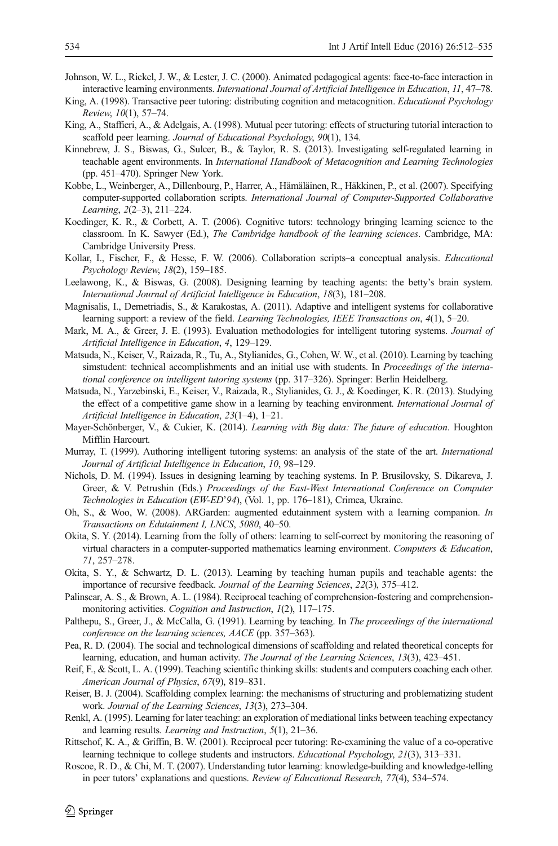- <span id="page-22-0"></span>Johnson, W. L., Rickel, J. W., & Lester, J. C. (2000). Animated pedagogical agents: face-to-face interaction in interactive learning environments. International Journal of Artificial Intelligence in Education, 11, 47–78.
- King, A. (1998). Transactive peer tutoring: distributing cognition and metacognition. *Educational Psychology* Review, 10(1), 57–74.
- King, A., Staffieri, A., & Adelgais, A. (1998). Mutual peer tutoring: effects of structuring tutorial interaction to scaffold peer learning. Journal of Educational Psychology, 90(1), 134.
- Kinnebrew, J. S., Biswas, G., Sulcer, B., & Taylor, R. S. (2013). Investigating self-regulated learning in teachable agent environments. In International Handbook of Metacognition and Learning Technologies (pp. 451–470). Springer New York.
- Kobbe, L., Weinberger, A., Dillenbourg, P., Harrer, A., Hämäläinen, R., Häkkinen, P., et al. (2007). Specifying computer-supported collaboration scripts. International Journal of Computer-Supported Collaborative Learning, 2(2–3), 211–224.
- Koedinger, K. R., & Corbett, A. T. (2006). Cognitive tutors: technology bringing learning science to the classroom. In K. Sawyer (Ed.), The Cambridge handbook of the learning sciences. Cambridge, MA: Cambridge University Press.
- Kollar, I., Fischer, F., & Hesse, F. W. (2006). Collaboration scripts-a conceptual analysis. Educational Psychology Review, 18(2), 159–185.
- Leelawong, K., & Biswas, G. (2008). Designing learning by teaching agents: the betty's brain system. International Journal of Artificial Intelligence in Education, 18(3), 181–208.
- Magnisalis, I., Demetriadis, S., & Karakostas, A. (2011). Adaptive and intelligent systems for collaborative learning support: a review of the field. Learning Technologies, IEEE Transactions on, 4(1), 5–20.
- Mark, M. A., & Greer, J. E. (1993). Evaluation methodologies for intelligent tutoring systems. Journal of Artificial Intelligence in Education, 4, 129–129.
- Matsuda, N., Keiser, V., Raizada, R., Tu, A., Stylianides, G., Cohen, W. W., et al. (2010). Learning by teaching simstudent: technical accomplishments and an initial use with students. In Proceedings of the international conference on intelligent tutoring systems (pp. 317–326). Springer: Berlin Heidelberg.
- Matsuda, N., Yarzebinski, E., Keiser, V., Raizada, R., Stylianides, G. J., & Koedinger, K. R. (2013). Studying the effect of a competitive game show in a learning by teaching environment. International Journal of Artificial Intelligence in Education, 23(1–4), 1–21.
- Mayer-Schönberger, V., & Cukier, K. (2014). Learning with Big data: The future of education. Houghton Mifflin Harcourt.
- Murray, T. (1999). Authoring intelligent tutoring systems: an analysis of the state of the art. *International* Journal of Artificial Intelligence in Education, 10, 98–129.
- Nichols, D. M. (1994). Issues in designing learning by teaching systems. In P. Brusilovsky, S. Dikareva, J. Greer, & V. Petrushin (Eds.) Proceedings of the East-West International Conference on Computer Technologies in Education (EW-ED'94), (Vol. 1, pp. 176–181), Crimea, Ukraine.
- Oh, S., & Woo, W. (2008). ARGarden: augmented edutainment system with a learning companion. In Transactions on Edutainment I, LNCS, 5080, 40–50.
- Okita, S. Y. (2014). Learning from the folly of others: learning to self-correct by monitoring the reasoning of virtual characters in a computer-supported mathematics learning environment. Computers & Education, 71, 257–278.
- Okita, S. Y., & Schwartz, D. L. (2013). Learning by teaching human pupils and teachable agents: the importance of recursive feedback. Journal of the Learning Sciences, 22(3), 375–412.
- Palinscar, A. S., & Brown, A. L. (1984). Reciprocal teaching of comprehension-fostering and comprehensionmonitoring activities. Cognition and Instruction, 1(2), 117–175.
- Palthepu, S., Greer, J., & McCalla, G. (1991). Learning by teaching. In The proceedings of the international conference on the learning sciences, AACE (pp. 357–363).
- Pea, R. D. (2004). The social and technological dimensions of scaffolding and related theoretical concepts for learning, education, and human activity. The Journal of the Learning Sciences, 13(3), 423-451.
- Reif, F., & Scott, L. A. (1999). Teaching scientific thinking skills: students and computers coaching each other. American Journal of Physics, 67(9), 819–831.
- Reiser, B. J. (2004). Scaffolding complex learning: the mechanisms of structuring and problematizing student work. Journal of the Learning Sciences, 13(3), 273–304.
- Renkl, A. (1995). Learning for later teaching: an exploration of mediational links between teaching expectancy and learning results. Learning and Instruction, 5(1), 21–36.
- Rittschof, K. A., & Griffin, B. W. (2001). Reciprocal peer tutoring: Re-examining the value of a co-operative learning technique to college students and instructors. Educational Psychology, 21(3), 313–331.
- Roscoe, R. D., & Chi, M. T. (2007). Understanding tutor learning: knowledge-building and knowledge-telling in peer tutors' explanations and questions. Review of Educational Research, 77(4), 534–574.